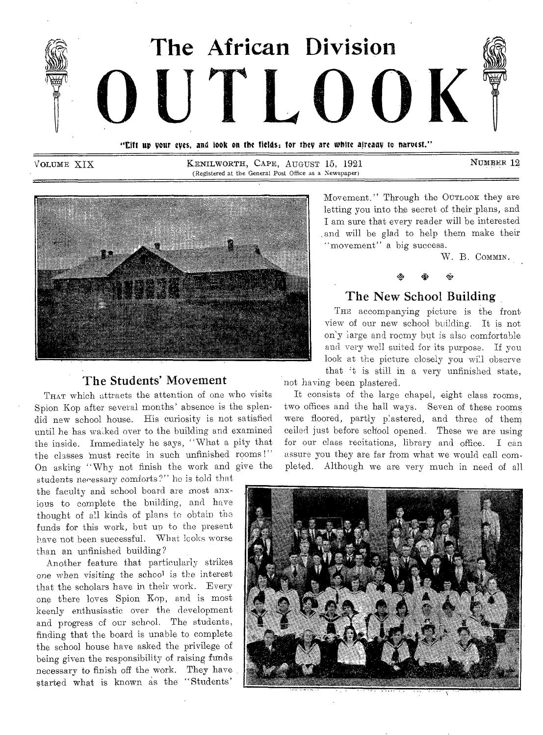

"Eift up your eyes, and look on the fields; for they are white already to naroest."

VOLUME XIX KENILWORTH, CAPE, AUGUST 15, 1921 NUMBER 12 (Registered at the General Post Office as a Newspaper)



#### The Students' Movement

THAT which attracts the attention of one who visits Spion Kop after several months' absence is the splendid new school house. His curiosity is not satisfied until he has walked over to the building and examined the inside. Immediately he says, "What a pity that the classes must recite in such unfinished rooms!" On asking "Why not finish the work and give the

students necessary comforts?" he is told that the faculty and school board are most anxious to complete the building, and have thought of all kinds of plans to obtain the funds for this work, but up to the present have not been successful. What looks worse than an unfinished building?

Another feature that particularly strikes one when visiting the school is the interest that the scholars have in their work. Every one there loves Spion Kop, and is most keenly enthusiastic over the development and progress of our school. The students, finding that the board is unable to complete the school house have asked the privilege of being given the responsibility of raising funds necessary to finish off the work. They have started what is known as the "Students'

Movement." Through the OUTLOOK they are letting you into the secret of their plans, and I am sure that every reader will be interested and will be glad to help them make their "movement" a big success.

W. B. COMMIN.



### The New School Building

THE accompanying picture is the front view of our new school building. It is not on'y large and roomy but is also comfortable and very well suited for its purpose. If you look at the picture closely you will observe that 't is still in a very unfinished state,

not having been plastered.

It consists of the large chapel, eight class rooms, two offices and the hall ways. Seven of these rooms were floored, partly plastered, and three of them ceiled just before school opened. These we are using for our class recitations, library and office. I can assure you they are far from what we would call completed. Although we are very much in need of all

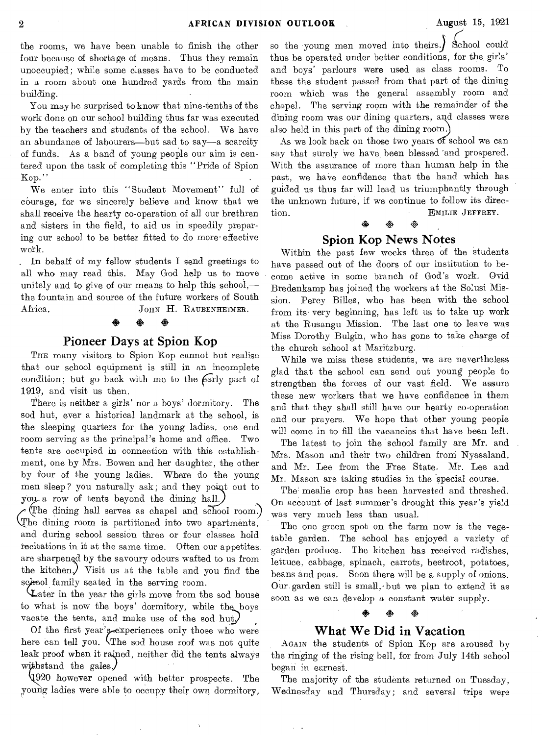the rooms, we have been unable to finish the other four because of shortage of means. Thus they remain unoccupied; while some classes have to be conducted in a room about one hundred yards from the main building.

You may be surprised to know that nine-tenths of the work done on our school building thus far was executed by the teachers and students of the school. We have an abundance of labourers—but sad to say—a scarcity of funds. As a band of young people our aim is centered upon the task of completing this "Pride of Spion Kop." **Example 2018** 

We enter into this "Student Movement" full of courage, for we sincerely believe and know that we shall receive the hearty co-operation of all our brethren and sisters in the field, to aid us in speedily preparing our school to be better fitted to do more effective work.

. In behalf of my fellow students I send greetings to all who may read this. May God help us to move unitely and to give of our means to help this school, the fountain and source of the future workers of South Africa. JOHN H. RAUBENHEIMER.

> di. do

#### Pioneer Days at Spion Kop

THE many visitors to Spion Kop cannot but realise that our school equipment is still in an incomplete condition; but go back with me to the  $\widehat{far}$ ly part of 1919, and visit us then.

There is neither a girls' nor a boys' dormitory. The sod hut, ever a historical landmark at the school, is the sleeping quarters for the young ladies, one end room serving as the principal's home and office. Two tents are occupied in connection with this establishment, one by Mrs. Bowen and her daughter, the other by four of the young ladies. Where do the young men sleep? you naturally ask; and they point out to you a row of tents beyond the dining hall.)

The dining nam serves as emaper and senoon room.) The dining hall serves as chapel and school room.) and during school session three or four classes hold recitations in it at the same time. Often our appetites are sharpened by the savoury odours wafted to us from the kitchen.) Visit us at the table and you find the school family seated in the serving room.

ater in the year the girls move from the sod house to what is now the boys' dormitory, while the boys vacate the tents, and make use of the sod hut.

Of the first year's experiences only those who were here can tell you. (The sod house roof was not quite leak proof when it raiped, neither did the tents always with stand the gales.

920 however opened with better prospects. The young ladies were able to occupy their own dormitory,

so the young men moved into theirs.) School could thus be operated under better conditions, for the girls' and boys' parlours were used as class rooms. To these the student passed from that part of the dining room which was the general assembly room and chapel. The serving room with the remainder of the dining room was our dining quarters, and classes were also held in this part of the dining room.)

As we look back on those two years of school we can say that surely we have, been blessed 'and prospered. With the assurance of more than human help in the past, we have confidence that the hand which has guided us thus far will lead us triumphantly through the unknown future, if we continue to follow its direction. EMILIE JEFFREY.

#### Spion Kop News Notes

42. ※

Within the past few weeks three of the students have passed out of the doors of our institution to become active in some branch of God's work. Ovid Bredenkamp has joined the workers at the Solusi Mission. Percy Billes, who has been with the school from its. very beginning, has left us to take up work at the Rusangu Mission. The last one to leave was Miss Dorothy Bulgin, who has gone to take charge of the church school at Maritzburg.

While we miss these students, we are nevertheless glad that the school can send out young people to strengthen the forces of our vast field. We assure these new workers that we have confidence in them and that they shall still have our hearty co-operation and our prayers. We hope that other young people will come in to fill the vacancies that have been left.

The latest to join the school family are Mr. and Mrs. Mason and their two children froni Nyasaland, and Mr. Lee from the Free State. Mr. Lee and Mr. Mason are taking studies in the special course.

The mealie crop has been harvested and threshed. On account of last summer's drought this year's yield was very much less than usual.

The one green spot on the farm now is the vegetable garden. The school has enjoyed a variety of garden produce. The kitchen has received radishes, lettuce, cabbage, spinach, carrots, beetroot, potatoes, beans and peas. Soon there will be a supply of onions. Our garden still is small,• but we plan to extend it as soon as we can develop a constant water supply.

# 4\* 4\* 44 What We Did in Vacation

AGAIN the students of Spion Kop are aroused by the ringing of the rising bell, for from July 14th school began in earnest.

The majority of the students returned on Tuesday, Wednesday and Thursday; and several trips were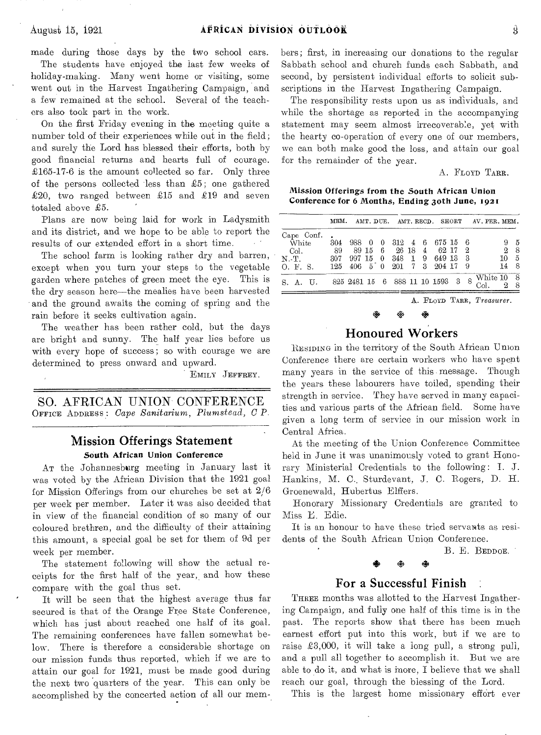made during those days by the two school cars. The students have enjoyed the last few weeks of holiday-making. Many went home or visiting, some went out in the Harvest Ingathering Campaign, and a few remained at the school. Several of the teachers also took part in the work.

On the first Friday evening in the meeting quite a number told of their experiences while out in the field; and surely the Lord has blessed their efforts, both by good financial returns and hearts full of courage. £165-17-6 is the amount collected so far. Only three of the persons collected less than  $£5$ ; one gathered £20, two ranged between £15 and £19 and seven totaled above £5.

Plans are now being laid for work in Ladysmith and its district, and we hope to be able to report the results of our extended effort in a short time.

The school farm is looking rather dry and barren, except when you turn your steps to the vegetable garden where patches of green meet the eye. This is the dry season here—the mealies have been harvested and the ground awaits the coming of spring and the rain before it seeks cultivation again.

The weather has been rather cold, but the days are bright and sunny. The half year lies before us with every hope of success; so with courage we are determined to press onward and upward.

EMILY JEFFREY.

SO. AFRICAN UNION CONFERENCE OFFICE ADDRESS : *Cape Sanitarium, Plumstectd, C P.* 

#### **Mission Offerings Statement**  South African Union Conference

AT the Johannesburg meeting in January last it was voted by the African Division that the 1921 goal for Mission Offerings from our churches be set at 2/6 per week per member. Later it was also decided that in view of the financial condition of so many of our coloured brethren, and the difficulty of their attaining this amount, a special goal be set for them of 9d per week per member.

The statement following will show the actual receipts for the first half of the year, and how these compare with the goal thus set.

It will be seen that the highest average thus far secured is that of the Orange Free State Conference, which has just about reached one half of its goal. The remaining conferences have fallen somewhat below. There is therefore a considerable shortage on our mission funds thus reported, which if we are to attain our goal for 1921, must be made good during the next two quarters of the year. This can only be accomplished by the concerted action of all our members; first, in increasing our donations to the regular Sabbath school and church funds each Sabbath, and second, by persistent individual efforts to solicit subscriptions in the Harvest Ingathering Campaign.

The responsibility rests upon us as individuals, and while the shortage as reported in the accompanying statement may seem almost irrecoverable, yet with the hearty co-operation of every one of our members, we can both make good the loss, and attain our goal for the remainder of the year.

A. FLOYD TARR.

Mission Offerings from the South African Union Conference for 6 Months, Ending 30th June, 1921

|                                                           | MEM.                |                                               |     |                       |  |                                                      |                   | AMT. DUE. AMT. RECD. SHORT AV. PER. MEM. |                     |                  |
|-----------------------------------------------------------|---------------------|-----------------------------------------------|-----|-----------------------|--|------------------------------------------------------|-------------------|------------------------------------------|---------------------|------------------|
| Cape Conf.<br>$\bar{W}$ hite<br>Col.<br>N.-T.<br>O. F. S. | 304<br>- 89<br>-307 | 988 0<br>- 8915<br>125 406 5 0 201 7 3 204 17 | - 0 | $312 \quad 4 \quad 6$ |  | 675156<br>6 26 18 4 62 17<br>997 15 0 348 1 9 649 13 | - 2<br>- 3<br>- 9 |                                          | 9<br>9,<br>10<br>14 | 5<br>8<br>5<br>8 |
| S.A.U.                                                    |                     | 825 2481 15 6 888 11 10 1593 3                |     |                       |  |                                                      | 8                 | White 10<br>Col.                         |                     | - 8              |

A. FLOYD TARR, *Treasurer.* 

## I\* \*I\* **Honoured Workers**

RESIDING in the territory of the South African Union Conference there are certain workers who have spent many years in the service of this message. Though the years these labourers have toiled, spending their strength in service. They have served in many capacities and various parts of the African field. Some have given a long term of service in our mission work in Central Africa.

At the meeting of the Union Conference Committee held in June it was unanimously voted to grant Honorary Ministerial Credentials to the following : I. J. Hankins, M. C., Sturdevant, J. C. Rogers, D. H. Groenewald, Hubertus Elffers.

Honorary Missionary Credentials are granted to Miss E. Edie.

It is an honour to have these tried servants as residents of the South African Union Conference.

B. E. BEDDOE.

## **For a Successful Finish**

THREE months was allotted to the Harvest Ingathering Campaign, and fully one half of this time is in the past. The reports show that there has been much earnest effort put into this work, but if we are to raise £3,000, it will take a long pull, a strong pull, and a pull all together to accomplish it. But we are able to do it, and what is more, I believe that we shall reach our goal, through the blessing of the Lord.

This is the largest home missionary effort ever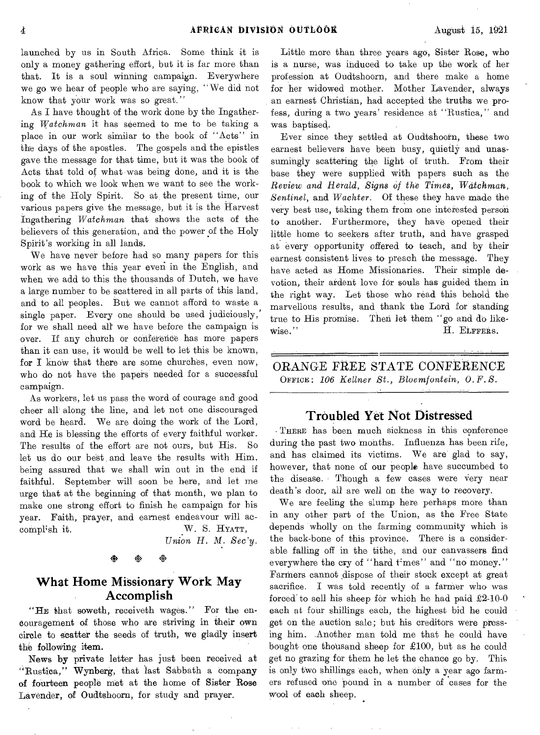launched by us in South Africa. Some think it is only a money gathering effort, but it is far more than that. It is a soul winning campaign. Everywhere we go we hear of people who are saying, "We did not know that your work was so great."

As I have thought of the work done by the Ingathering *Watchman* it has seemed to me to be taking a place in our work similar to the book of "Acts" in the days of the apostles. The gospels and the epistles gave the message for that time, but it was the book of Acts that told of, what was being done, and it is the book to which we look when we want to see the working of the Holy Spirit. So at the present time, our various papers give the message, but it is the Harvest Ingathering *Watchman* that shows the acts of the believers of this generation, and the power of the Holy Spirit's working in all lands.

We have never before had so many papers for this work as we have this year even in the English, and when we add to this the thousands of Dutch, we have a large number to be scattered in all parts of this land, and to all peoples. But we cannot afford to waste a single paper. Every one should be used judiciously, for we shall need all we have before the campaign is over. If any church or conference has more papers than it can use, it would be well to let this be known, for I know that there are some churches, even now, who do not have the papers needed for a successful campaign.

As workers, let us pass the word of courage and good cheer all along the line, and let not one discouraged word be heard. We are doing the work of the Lord, and He is blessing the efforts of every faithful worker. The results of the effort are not ours, but His. So let us do our best and leave the results with Him, being assured that we shall win out in the end if faithful. September will soon be here, and let me urge that at the beginning of that month, we plan to make one strong effort to finish he campaign for his year. Faith, prayer, and earnest endeavour will accomplish it. W. S. HYATT,

Union H. M. Sec'y.

#### **What Home Missionary Work May Accomplish**

"HE that soweth, receiveth wages." For the encouragement of those who are striving in their own circle to scatter the seeds of truth, we gladly insert the following item.

News by private letter has just been received at "Rustica," Wynberg, that last Sabbath a company of fourteen people met at the home of Sister Rose Lavender, of Oudtshoorn, for study and prayer.

Little more than three years ago, Sister Rose, who is a nurse, was induced to take up the work of her profession at Oudtshoorn, and there make a home for her widowed mother. Mother Lavender, always an earnest Christian, had accepted the truths we profess, during a two years' residence at "Bustica," and Was baptised.

Ever since they settled at Oudtshoorn, these two earnest believers have been busy, quietly and unassumingly scattering the light of truth. From their base they were supplied with papers such as the *Review and Herald, Signs of the Times, Watchman, Sentinel,* and *Wachter.* Of these they have made the very best use, taking them from one interested person to another. Furthermore, they have opened their little home to seekers after truth, and have grasped at every opportunity offered to teach, and by their earnest consistent lives to preach the message. They have acted as Home Missionaries. Their simple devotion, their ardent love for souls has guided them in the right way. Let those who read this behold the marvellous results, and thank the Lord for standing true to His promise. Then let them "go and do likewise." H. EiFFERS.

ORANGE FREE STATE CONFERENCE OFFICE: *106 Kellner St., Bloemfontein, O. F. S.* 

#### **Troubled Yet Not Distressed**

THERE has been much sickness in this conference during the past two months. Influenza has been rife, and has claimed its victims. We are glad to say, however, that none of our people have succumbed to the disease. Though a few cases were very near death's door, all are well on the way to recovery.

We are feeling the slump here perhaps more than in any other part of the Union, as the Free State depends wholly on the farming community which is the back-bone of this province. There is a considerable falling off in the tithe, and our canvassers find everywhere the cry of "hard times" and "no money." Farmers cannot dispose of their stock except at great sacrifice. I was told recently of a farmer who was forced to sell his sheep for which he had paid  $\pounds2-10-0$ each at four shillings each, the highest bid he could get on the auction sale; but his creditors were pressing him\_ Another man told me that he could have bought one thousand sheep for £100, but as he could get no grazing for them he let the chance go by. This is only two shillings each, when only a year ago farmers refused one pound in a number of cases for the wool of each sheep.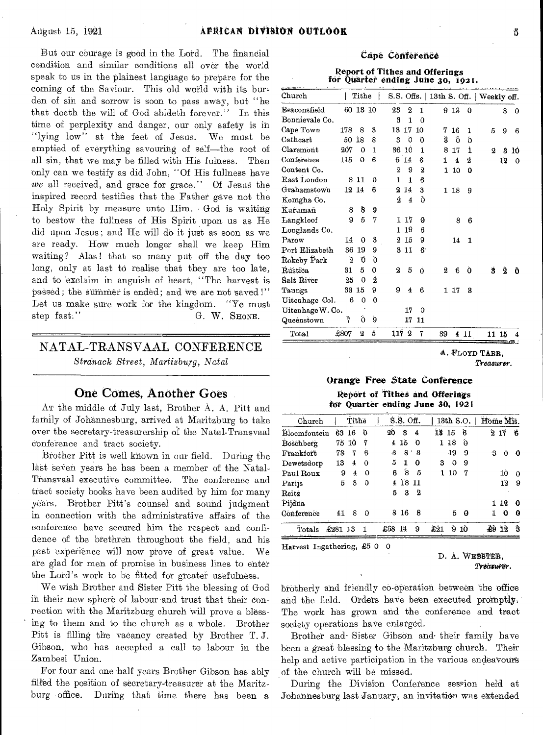But our courage is good in the Lord. The financial condition and similar conditions all over the world speak to us in the plainest language to prepare for the coming of the Saviour. This old world with its bur den of sin and sorrow is soon to pass away, but "he that doeth the will of God abideth forever." In this time of perplexity and danger, our only safety is in "lying low" at the feet of Jesus. We must be emptied of everything savouring of self—the root of all sin, that we may be filled with His fulness. Then only can we testify as did John, "Of His fullness have *we* all received, and grace for grace." Of Jesus the inspired record testifies that the Father gave not the Holy Spirit by measure unto Him. • God is waiting to bestow the fullness of His Spirit upon us as He did upon Jesus; and He will da it just as soon as we are ready. How much longer shall we keep Him waiting? Alas! that so many put off the day too long, only at last to realise that they are too late, and to 'exclaim in anguish of heart, "The harvest is passed; the summer is ended; and we are not saved!" Let us make sure work for the kingdom. "Ye must<br>step fast." G. W. SHONE. G. W. SHONE.

### NATAL-TRANSVAAL CONFERENCE *Stranack Street, Martizburg, Natal*

#### One Comes, Another Goes

AT the middle of July last, Brother A. A. Pitt and family of Johannesburg, arrived at Maritzburg to take over the secretary-treasurership of the Natal-Transvaal Conference and tract society.

Brother Pitt is well known in our field. During the last seven years he has been a member of the Natal-Transvaal executive committee. The conference and tract society books have been audited by him for many years. Brother Pitt's counsel and sound judgment in connection with the administrative affairs of the conference have secured him the respect and confidence of the brethren throughout the field, and his past experience will now prove of great value. We are glad for men of promise in business lines to enter the Lord's work to be fitted for greater usefulness.

We wish Brother and Sister Pitt the blessing of God in their new sphere of labour and trust that their conrection with the Maritzburg church will prove a blessing to them and to the church as a whole. Brother Pitt is filling the vacancy created by Brother T. J. Gibson, who has accepted a call to labour in the Zambesi Union.

For four and one half years Brother Gibson has ably filled the position of secretary-treasurer at the Maritzburg office. During that time there has been a

#### Cape Conference

**Report** of Tithes and Offerings for Quarter ending June 30, 1921.

| Tithe<br>S.S. Offs.   13th S. Off.   Weekly off.<br>60 13 10<br>23<br>$\boldsymbol{2}$<br>1<br>913<br>$\bf{0}$<br>8<br>$\Omega$<br>3<br>1<br>$\Omega$<br>3<br>13<br>17<br>10<br>178<br>8<br>7<br>16<br>1<br>5<br>9<br>6<br>Ô<br>18<br>Š<br>ó<br>50<br>3<br>ä<br>ō<br>õ<br>207<br>36<br>10<br>1<br>1<br>$\Omega$<br>1<br>8<br>17<br>$\overline{2}$<br>Ś<br>6<br>14<br>115<br>0<br>5<br>2<br>б<br>4<br>12<br>1<br>$\boldsymbol{2}$<br>9<br>2<br>110<br>$\bf{0}$<br>8 1 1<br>1<br>$\Omega$<br>1<br>6<br>6<br>12 14<br>2<br>14<br>3<br>118<br>9<br>Ò<br>2<br>$\overline{\mathbf{4}}$<br>Ŝ<br>8<br>9<br>9<br>5<br>7<br>1 17<br>G<br>8<br>6<br>19<br>6<br>1<br>3<br>15<br>14<br>$\boldsymbol{\Omega}$<br>9<br>0<br>14<br>1<br>36<br>19<br>9<br>11<br>6<br>3<br>Ó.<br>2<br>Ö<br>5<br>0<br>2<br>5<br>Ò<br>Ś<br>ĝ<br>31<br>Ó<br>2<br>6<br>2<br>25<br>0<br>9<br>33 15<br>9<br>$\overline{\mathbf{4}}$<br>17<br>6<br>3<br>1<br>6<br>0<br>$\Omega$<br>Uitenhage W. Co.<br>17<br>0<br>$\tilde{7}$<br>Ő<br>g<br>17<br>11<br>1172<br>5<br>Total<br>£807<br>$\bf{2}$<br>7<br>39<br>411<br>11 15 |  |  |  |  |  | A. FLOYD TARR, |    |
|---------------------------------------------------------------------------------------------------------------------------------------------------------------------------------------------------------------------------------------------------------------------------------------------------------------------------------------------------------------------------------------------------------------------------------------------------------------------------------------------------------------------------------------------------------------------------------------------------------------------------------------------------------------------------------------------------------------------------------------------------------------------------------------------------------------------------------------------------------------------------------------------------------------------------------------------------------------------------------------------------------------------------------------------------------------------------------|--|--|--|--|--|----------------|----|
| $_{\rm Church}$<br>Beaconsfield<br>Bonnievale Co.<br>Cape Town<br>$\emph{Cathcart}$<br>$\emph{Claremont}$<br>Conference<br>Content Co.<br>East London<br>$G$ rahamstown<br>Komgha Co.<br>Kurumañ<br>Langkloof<br>Longlands Co.<br>Parow<br>Port Elizabeth<br>Řokeby Park<br>Rustica<br>Salt River<br>Taungs<br>Uitenhage Col.<br>Queénstown                                                                                                                                                                                                                                                                                                                                                                                                                                                                                                                                                                                                                                                                                                                                     |  |  |  |  |  |                |    |
|                                                                                                                                                                                                                                                                                                                                                                                                                                                                                                                                                                                                                                                                                                                                                                                                                                                                                                                                                                                                                                                                                 |  |  |  |  |  |                |    |
|                                                                                                                                                                                                                                                                                                                                                                                                                                                                                                                                                                                                                                                                                                                                                                                                                                                                                                                                                                                                                                                                                 |  |  |  |  |  |                |    |
|                                                                                                                                                                                                                                                                                                                                                                                                                                                                                                                                                                                                                                                                                                                                                                                                                                                                                                                                                                                                                                                                                 |  |  |  |  |  |                |    |
|                                                                                                                                                                                                                                                                                                                                                                                                                                                                                                                                                                                                                                                                                                                                                                                                                                                                                                                                                                                                                                                                                 |  |  |  |  |  |                |    |
|                                                                                                                                                                                                                                                                                                                                                                                                                                                                                                                                                                                                                                                                                                                                                                                                                                                                                                                                                                                                                                                                                 |  |  |  |  |  |                |    |
|                                                                                                                                                                                                                                                                                                                                                                                                                                                                                                                                                                                                                                                                                                                                                                                                                                                                                                                                                                                                                                                                                 |  |  |  |  |  |                | Ô  |
|                                                                                                                                                                                                                                                                                                                                                                                                                                                                                                                                                                                                                                                                                                                                                                                                                                                                                                                                                                                                                                                                                 |  |  |  |  |  |                |    |
|                                                                                                                                                                                                                                                                                                                                                                                                                                                                                                                                                                                                                                                                                                                                                                                                                                                                                                                                                                                                                                                                                 |  |  |  |  |  |                |    |
|                                                                                                                                                                                                                                                                                                                                                                                                                                                                                                                                                                                                                                                                                                                                                                                                                                                                                                                                                                                                                                                                                 |  |  |  |  |  |                |    |
|                                                                                                                                                                                                                                                                                                                                                                                                                                                                                                                                                                                                                                                                                                                                                                                                                                                                                                                                                                                                                                                                                 |  |  |  |  |  |                |    |
|                                                                                                                                                                                                                                                                                                                                                                                                                                                                                                                                                                                                                                                                                                                                                                                                                                                                                                                                                                                                                                                                                 |  |  |  |  |  |                |    |
|                                                                                                                                                                                                                                                                                                                                                                                                                                                                                                                                                                                                                                                                                                                                                                                                                                                                                                                                                                                                                                                                                 |  |  |  |  |  |                |    |
|                                                                                                                                                                                                                                                                                                                                                                                                                                                                                                                                                                                                                                                                                                                                                                                                                                                                                                                                                                                                                                                                                 |  |  |  |  |  |                |    |
|                                                                                                                                                                                                                                                                                                                                                                                                                                                                                                                                                                                                                                                                                                                                                                                                                                                                                                                                                                                                                                                                                 |  |  |  |  |  |                |    |
|                                                                                                                                                                                                                                                                                                                                                                                                                                                                                                                                                                                                                                                                                                                                                                                                                                                                                                                                                                                                                                                                                 |  |  |  |  |  |                |    |
|                                                                                                                                                                                                                                                                                                                                                                                                                                                                                                                                                                                                                                                                                                                                                                                                                                                                                                                                                                                                                                                                                 |  |  |  |  |  |                |    |
|                                                                                                                                                                                                                                                                                                                                                                                                                                                                                                                                                                                                                                                                                                                                                                                                                                                                                                                                                                                                                                                                                 |  |  |  |  |  |                | 0  |
|                                                                                                                                                                                                                                                                                                                                                                                                                                                                                                                                                                                                                                                                                                                                                                                                                                                                                                                                                                                                                                                                                 |  |  |  |  |  |                | ΊÓ |
|                                                                                                                                                                                                                                                                                                                                                                                                                                                                                                                                                                                                                                                                                                                                                                                                                                                                                                                                                                                                                                                                                 |  |  |  |  |  |                |    |
|                                                                                                                                                                                                                                                                                                                                                                                                                                                                                                                                                                                                                                                                                                                                                                                                                                                                                                                                                                                                                                                                                 |  |  |  |  |  |                |    |
|                                                                                                                                                                                                                                                                                                                                                                                                                                                                                                                                                                                                                                                                                                                                                                                                                                                                                                                                                                                                                                                                                 |  |  |  |  |  |                |    |
|                                                                                                                                                                                                                                                                                                                                                                                                                                                                                                                                                                                                                                                                                                                                                                                                                                                                                                                                                                                                                                                                                 |  |  |  |  |  |                |    |
|                                                                                                                                                                                                                                                                                                                                                                                                                                                                                                                                                                                                                                                                                                                                                                                                                                                                                                                                                                                                                                                                                 |  |  |  |  |  |                |    |

# **Orange Free State Conference**

Report of Tithes and Offerings for Quarter **ending** June 30, 1921

| Church       |       | Tithe |          | S.S. Off. |              |                | 13th S.O. |     |     |     | Home Mis. |          |  |
|--------------|-------|-------|----------|-----------|--------------|----------------|-----------|-----|-----|-----|-----------|----------|--|
| Bloemfontein | 63 16 |       | ΰ        | 20        | я            | 4              | 13 15     |     | ß   |     | 217       | Ÿ6       |  |
| Boschberg    | 75    | -10   | 7        | 4         | 15           | $\Omega$       | 1.        | 18  | 0   |     |           |          |  |
| Frankfort    | 73    | ï     | 6        | 8         | 8            | 3              |           | -19 | 9   | -3  | 0         | ø        |  |
| Dewetsdorp   | 13    | 4     | $\Omega$ | 5         | $\mathbf{I}$ | 0              | з         | 0   | 9   |     |           |          |  |
| Paul Roux    | 9     | 4     | 0        | 6         | 8            | 5              | 1         | 10  | 7   |     | 10        | $\Omega$ |  |
| Parijs       | 5     | ä     | 0        | 4         | 1811         |                |           |     |     |     | 12        | 9        |  |
| Reitz        |       |       |          | 5         | 3            | $\overline{2}$ |           |     |     |     |           |          |  |
| Pijdna       |       |       |          |           |              |                |           |     |     | 1.  | 12        | - 0      |  |
| Conference   | 41    | 8     | $\Omega$ | 8.        | -16          | 8              |           | 5   | - 0 | 1   | o         | o        |  |
| Totals       | £281  | -13   | 1        | £58       | -14          | 9              | £21       | g   | 10  | -20 | Ø.        | â        |  |

Harvest Ingathering, £5 0 0

D. A. WEBBTER, Treasurer.

*Treasurer.* 

brotherly and friendly co-Operation between the office and the field. Orders have been executed promptly. The work has grown and the conference and tract society operations have enlarged,

Brother and Sister Gibson and their family have been a great blessing to the Maritzburg church. Their help and active participation in the various endeavours of the church will be missed.

During the Division Conference session held at Johannesburg last January; an invitation was extended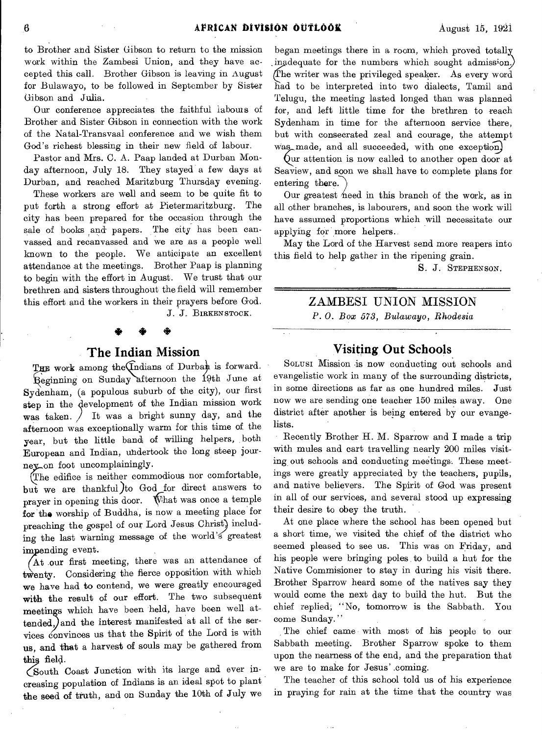to Brother and Sister Gibson to return to the mission work within the Zambesi Union, and they have accepted this call. Brother Gibson is leaving in August for Bulawayo, to be followed in September by Sister Gibson and Julia.

Our conference appreciates the faithful labours of Brother and Sister Gibson in connection with the work of the Natal-Transvaal conference and we wish them God's richest blessing in their new field of labour.

Pastor and Mrs. C. A. Paap landed at Durban Monday afternoon, July 18. They stayed a few days at Durban, and reached Maritzburg Thursday evening.

These workers are well and seem to be quite fit to put forth a strong effort at Pietermaritzburg. The city has been prepared for the occasion through the sale of books and papers. The city has been canvassed and recanvassed and we are as a people well known to the people. We anticipate an excellent attendance at the meetings. Brother Paap is planning to begin with the effort in August. We trust that our brethren and sisters throughout the field will remember this effort and the workers in their prayers before God.

J. J. BIRKENSTOCK. \* •

#### **The Indian Mission**

E work among the Indians of Durban is forward. eginning on Sunday afternoon the 19th June at Sydenham, (a populous suburb of the city), our first step in the development of the Indian mission work was taken.  $\int$  It was a bright sunny day, and the afternoon was exceptionally warm for this time of the year, but the little band of willing helpers, both European and Indian, undertook the long steep journey on foot uncomplainingly.

The edifice is neither commodious nor comfortable, but we are thankful)to God for direct answers to prayer in opening this door. What was once a temple for the worship of Buddha, is now a meeting place for preaching the gospel of our Lord Jesus Christ) including the last warning message of the world's' greatest impending event.

At our first meeting, there was an attendance of twenty. Considering the fierce opposition with which we have had to contend, we were greatly encouraged with, the result of our effort. The two subsequent meetings which have been held, have been well attended, and the interest manifested at all of the services convinces us that the Spirit of the Lord is with us, and that a harvest of souls may be gathered from this field.

(South Coast Junction with its large and ever increasing population of Indians is an ideal spot to plant the seed of truth, and on Sunday the 10th of July we

began meetings there in a room, which proved totally ingdequate for the numbers which sought admission.) he writer was the privileged speaker. As every word had to be interpreted into two dialects, Tamil and Telugu, the meeting lasted longed than was planned for, and left little time for the brethren to reach Sydenham in time for the afternoon service there, but with consecrated zeal and courage, the attempt was made, and all succeeded, with one exception)

 $\alpha$ ur attention is now called to another open door at Seaview, and soon we shall have to complete plans for entering there.

Our greatest heed in this branch of the work, as in all other branches, is labourers, and soon the work will have assumed proportions which will necessitate our applying for more helpers.

May the Lord of the Harvest send more reapers into this field to help gather in the ripening grain.

S. J. STEPHENSON.

# ZAMBESI UNION MISSION

*P. 0. Box 573, Bulawayo, Rhodesia* 

#### **Visiting Out Schools**

SoLusI Mission is now conducting out schools and evangelistic work in many of the surrounding districts, in some directions as far as one hundred miles. Just now we are sending one teacher 150 miles away. One district after another is being entered by our evangelists.

Recently Brother H. M. Sparrow and I made a trip with mules and cart travelling nearly 200 miles visiting out schools and conducting meetings. These meetings were greatly appreciated by the teachers, pupils, and native believers. The Spirit of God was present in all of our services, and several stood up expressing their desire to obey the truth.

At one place where the school has been opened but a short time, we visited the chief of the district who seemed pleased to see us. This was on Friday, and his people were bringing poles to build a hut for the Native Commisioner to stay in during his visit there. Brother Sparrow heard some of the natives say they would come the next day to build the hut. But the chief replied, "No, tomorrow is the Sabbath. You come Sunday."

The chief came with most of his people to our Sabbath meeting. Brother Sparrow spoke to them upon the nearness of the end, and the preparation that we are to make for Jesus' .coming.

The teacher of this school told us of his experience in praying for rain at the time that the country was

 $\sim$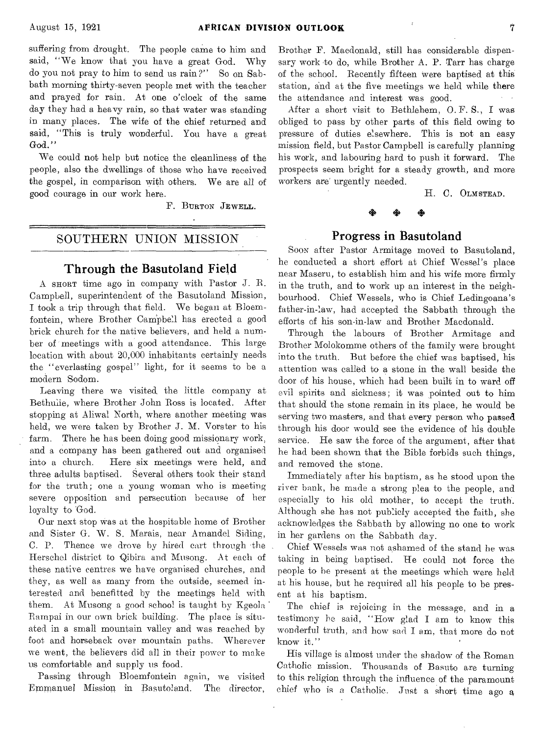suffering from drought. The people came to him and said, "We know that you have a great God. Why do you not pray to him to send us rain ?" So on Sabbath morning thirty-seven people met with the teacher and prayed for rain. At one o'clock of the same day they had a heavy rain, so that water was standing in many places. The wife of the chief returned and said, "This is truly wonderful. You have a great God."

We could not help but notice the cleanliness of the people, also the dwellings of those who have received the gospel, in comparison with others. We are all of good courage in our work here.

F. BURTON JEWELL.

#### SOUTHERN UNION MISSION

#### Through the Basutoland Field

A SHORT time ago in company with Pastor J. R. Campbell, superintendent of the Basutoland Mission, I took a trip through that field. We began at Bloemfontein, where Brother Campbell has erected a good brick church for the native believers, and held a number of 'meetings with a good attendance. This large location with about 20,000 inhabitants certainly needs the "everlasting gospel" light, for it seems to be a modern Sodom.

Leaving there we visited the little company at Bethulie, where Brother John Ross is located. After stopping at Aliwal North, where another meeting was held, we were taken by Brother J. M. Vorster to his farm. There he has been doing good missionary work, and a company has been gathered out and organised into a church. Here six meetings were held, and three adults baptised. Several others took their stand for the truth; one a young woman who is meeting severe opposition and persecution because of her loyalty to God.

Our next stop Was at the hospitable home of Brother and Sister G. W. S. Marais, near Amandel Siding, C. P. Thence we drove by hired cart through the Herschel district to Qibira and Musong. At each of these native centres we have organised churches, and they, as well as many from the outside, seemed interested and benefitted by the meetings held with them. At Musong a good school is taught by Kgeola Rampai in our own brick building. The place is situated in a small mountain valley and was reached by foot and horseback over mountain paths. Wherever we went, the believers did all in their power to make us comfortable and supply us food.

Passing through Bloemfontein again, we visited Emmanuel Mission in Basutoland. The director, Brother F. Macdonald, still has considerable dispensary work to do, while Brother A. P. Tarr has charge of the school. Recently fifteen were baptised at this station, and at the five meetings we held while there the attendance and interest was good.

After a short visit to Bethlehem, 0. F. S., I was obliged to pass by other parts of this field owing to pressure of duties elsewhere. This is not an easy mission field, but Pastor Campbell is carefully planning his work, and labouring hard to push it forward. The prospects seem bright for a steady growth, and more workers are urgently needed.

H. C. OLMSTEAD.

# Progress in Basutoland

SOON after Pastor Armitage moved to Basutoland, he conducted a short effort at Chief Wessel's place near Maseru, to establish him and his wife more firmly in the truth, and to work up an interest in the neighbourhood. Chief Wessels, who is Chief Ledingoana's father-in-law, had accepted the Sabbath through the efforts of his son-in-law and Brother Macdonald.

Through the labours of Brother Armitage and Brother Molokomme others of the family were brought into the truth. But before the chief was baptised, his attention was called to a stone in the wall beside the door of his house, which had been built in to ward off evil spirits and sickness; it was pointed out to him that should the stone remain in its place, he would be serving two masters, and that every person who passed through his door would see the evidence of his double service. He saw the force of the argument, after that he had been shown that the Bible forbids such things, and removed the stone.

Immediately after his baptism, as he stood upon the river bank, he made a strong plea to the people, and especially to his old mother, to accepf the truth. Although she has not publicly accepted the faith, she acknowledges the Sabbath by allowing no one to work in her gardens on the Sabbath day.

Chief Wessels was not ashamed of the stand he was taking in being baptised. He could not force the people to be present at the meetings which were held at his house, but he required all his people to be present at his baptism.

The chief is rejoicing in the message, and in a testimony he said, "How glad I am to know this wonderful truth, and how sad I am, that more do not know it."

His village is almost under the shadow of the Roman Catholic mission. Thousands of Basuto are turning to this religion through the influence of the paramount chief who is a Catholic. Just a short time ago a,